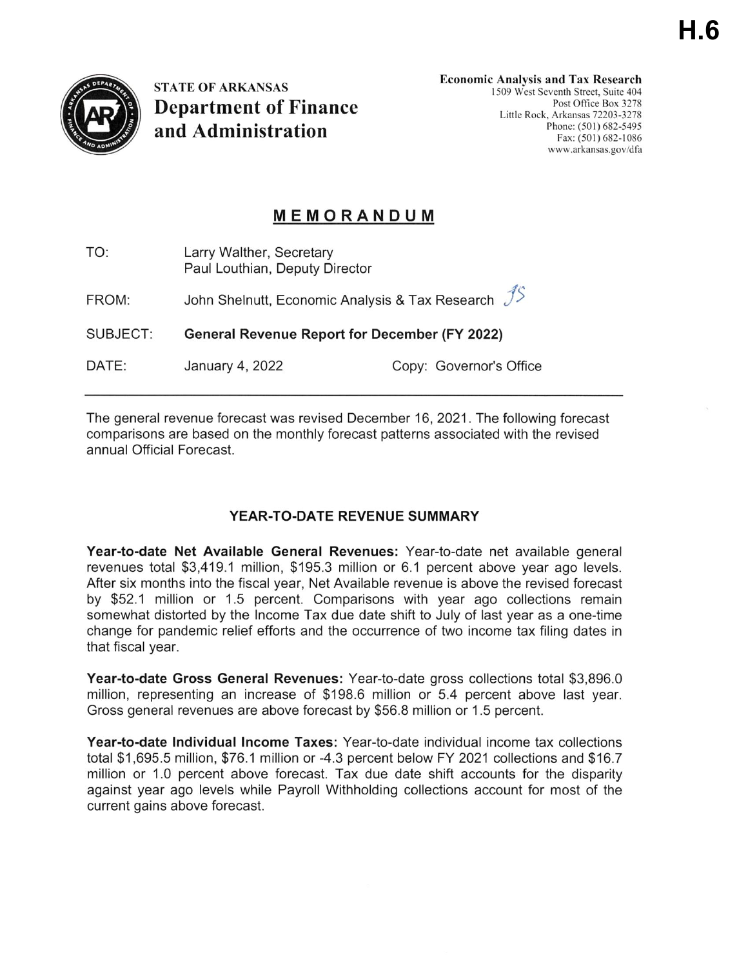

**STATE OF ARKANSAS Department of Finance** and Administration

**Economic Analysis and Tax Research** 1509 West Seventh Street, Suite 404 Post Office Box 3278 Little Rock, Arkansas 72203-3278 Phone: (501) 682-5495 Fax: (501) 682-1086 www.arkansas.gov/dfa

# **MEMORANDUM**

| TO:      | Larry Walther, Secretary<br>Paul Louthian, Deputy Director                  |                         |
|----------|-----------------------------------------------------------------------------|-------------------------|
| FROM:    | John Shelnutt, Economic Analysis & Tax Research $\mathcal{J}^{\mathcal{S}}$ |                         |
| SUBJECT: | <b>General Revenue Report for December (FY 2022)</b>                        |                         |
| DATE:    | January 4, 2022                                                             | Copy: Governor's Office |
|          |                                                                             |                         |

The general revenue forecast was revised December 16, 2021. The following forecast comparisons are based on the monthly forecast patterns associated with the revised annual Official Forecast.

## YEAR-TO-DATE REVENUE SUMMARY

Year-to-date Net Available General Revenues: Year-to-date net available general revenues total \$3,419.1 million, \$195.3 million or 6.1 percent above year ago levels. After six months into the fiscal year, Net Available revenue is above the revised forecast by \$52.1 million or 1.5 percent. Comparisons with year ago collections remain somewhat distorted by the Income Tax due date shift to July of last year as a one-time change for pandemic relief efforts and the occurrence of two income tax filing dates in that fiscal year.

Year-to-date Gross General Revenues: Year-to-date gross collections total \$3,896.0 million, representing an increase of \$198.6 million or 5.4 percent above last year. Gross general revenues are above forecast by \$56.8 million or 1.5 percent.

Year-to-date Individual Income Taxes: Year-to-date individual income tax collections total \$1,695.5 million, \$76.1 million or -4.3 percent below FY 2021 collections and \$16.7 million or 1.0 percent above forecast. Tax due date shift accounts for the disparity against year ago levels while Payroll Withholding collections account for most of the current gains above forecast.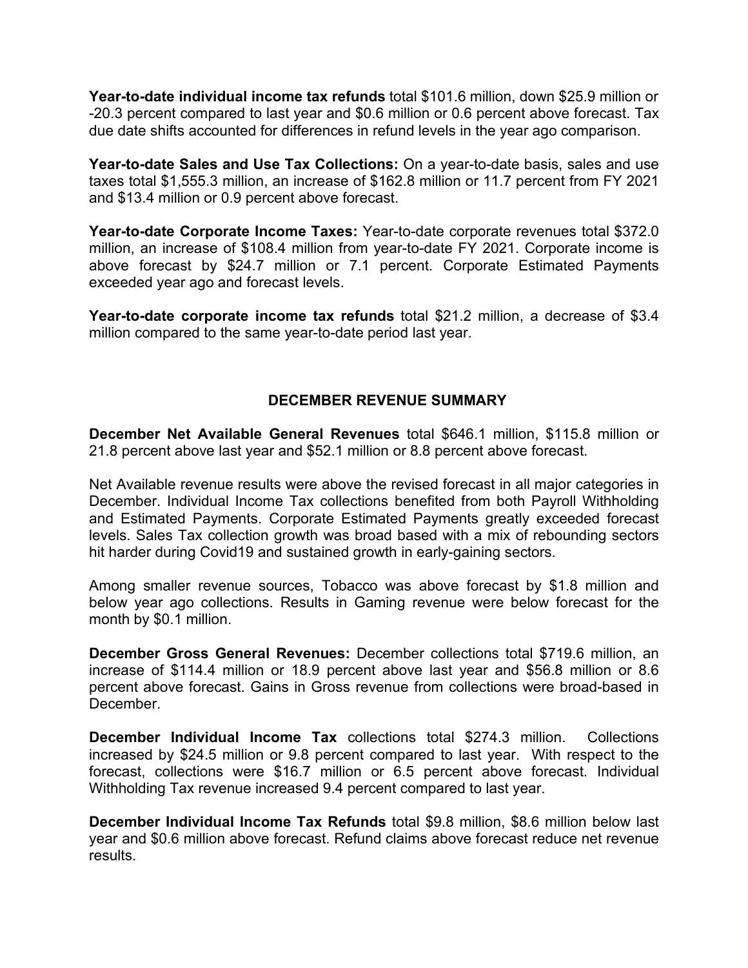**Year-to-date individual income tax refunds** total \$101.6 million, down \$25.9 million or -20.3 percent compared to last year and \$0.6 million or 0.6 percent above forecast. Tax due date shifts accounted for differences in refund levels in the year ago comparison.

**Year-to-date Sales and Use Tax Collections:** On a year-to-date basis, sales and use taxes total \$1,555.3 million, an increase of \$162.8 million or 11.7 percent from FY 2021 and \$13.4 million or 0.9 percent above forecast.

**Year-to-date Corporate Income Taxes:** Year-to-date corporate revenues total \$372.0 million, an increase of \$108.4 million from year-to-date FY 2021. Corporate income is above forecast by \$24.7 million or 7.1 percent. Corporate Estimated Payments exceeded year ago and forecast levels.

**Year-to-date corporate income tax refunds** total \$21.2 million, a decrease of \$3.4 million compared to the same year-to-date period last year.

#### **DECEMBER REVENUE SUMMARY**

**December Net Available General Revenues** total \$646.1 million, \$115.8 million or 21.8 percent above last year and \$52.1 million or 8.8 percent above forecast.

Net Available revenue results were above the revised forecast in all major categories in December. Individual Income Tax collections benefited from both Payroll Withholding and Estimated Payments. Corporate Estimated Payments greatly exceeded forecast levels. Sales Tax collection growth was broad based with a mix of rebounding sectors hit harder during Covid19 and sustained growth in early-gaining sectors.

Among smaller revenue sources, Tobacco was above forecast by \$1.8 million and below year ago collections. Results in Gaming revenue were below forecast for the month by \$0.1 million.

**December Gross General Revenues:** December collections total \$719.6 million, an increase of \$114.4 million or 18.9 percent above last year and \$56.8 million or 8.6 percent above forecast. Gains in Gross revenue from collections were broad-based in **December** 

**December Individual Income Tax** collections total \$274.3 million. Collections increased by \$24.5 million or 9.8 percent compared to last year. With respect to the forecast, collections were \$16.7 million or 6.5 percent above forecast. Individual Withholding Tax revenue increased 9.4 percent compared to last year.

**December Individual Income Tax Refunds** total \$9.8 million, \$8.6 million below last year and \$0.6 million above forecast. Refund claims above forecast reduce net revenue results.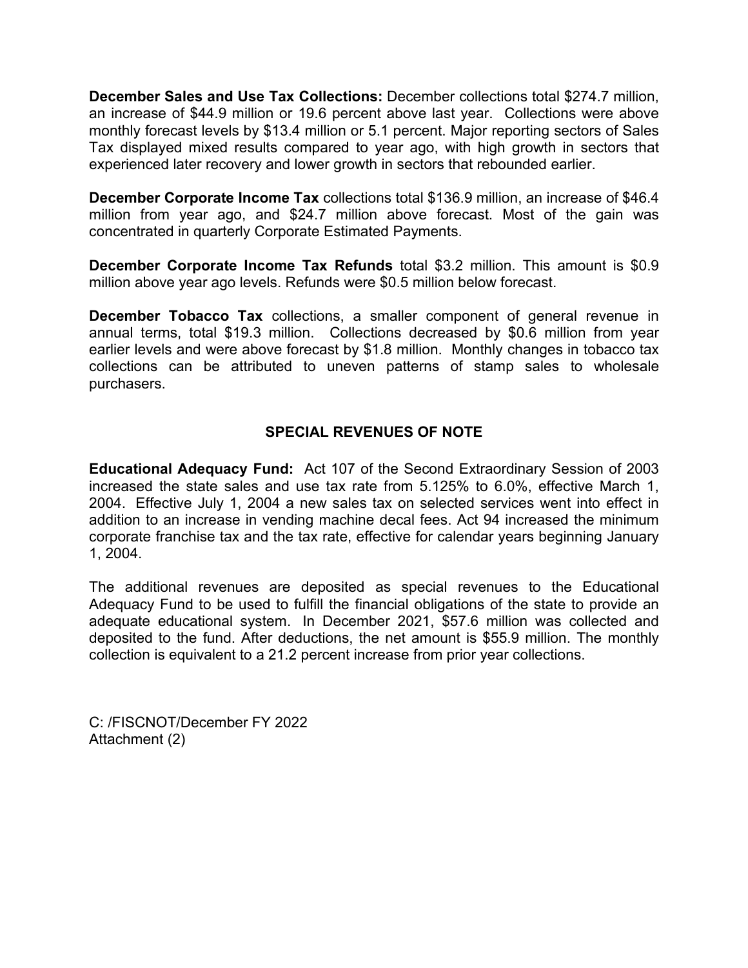**December Sales and Use Tax Collections:** December collections total \$274.7 million, an increase of \$44.9 million or 19.6 percent above last year. Collections were above monthly forecast levels by \$13.4 million or 5.1 percent. Major reporting sectors of Sales Tax displayed mixed results compared to year ago, with high growth in sectors that experienced later recovery and lower growth in sectors that rebounded earlier.

**December Corporate Income Tax** collections total \$136.9 million, an increase of \$46.4 million from year ago, and \$24.7 million above forecast. Most of the gain was concentrated in quarterly Corporate Estimated Payments.

**December Corporate Income Tax Refunds** total \$3.2 million. This amount is \$0.9 million above year ago levels. Refunds were \$0.5 million below forecast.

**December Tobacco Tax** collections, a smaller component of general revenue in annual terms, total \$19.3 million. Collections decreased by \$0.6 million from year earlier levels and were above forecast by \$1.8 million. Monthly changes in tobacco tax collections can be attributed to uneven patterns of stamp sales to wholesale purchasers.

#### **SPECIAL REVENUES OF NOTE**

**Educational Adequacy Fund:** Act 107 of the Second Extraordinary Session of 2003 increased the state sales and use tax rate from 5.125% to 6.0%, effective March 1, 2004. Effective July 1, 2004 a new sales tax on selected services went into effect in addition to an increase in vending machine decal fees. Act 94 increased the minimum corporate franchise tax and the tax rate, effective for calendar years beginning January 1, 2004.

The additional revenues are deposited as special revenues to the Educational Adequacy Fund to be used to fulfill the financial obligations of the state to provide an adequate educational system. In December 2021, \$57.6 million was collected and deposited to the fund. After deductions, the net amount is \$55.9 million. The monthly collection is equivalent to a 21.2 percent increase from prior year collections.

C: /FISCNOT/December FY 2022 Attachment (2)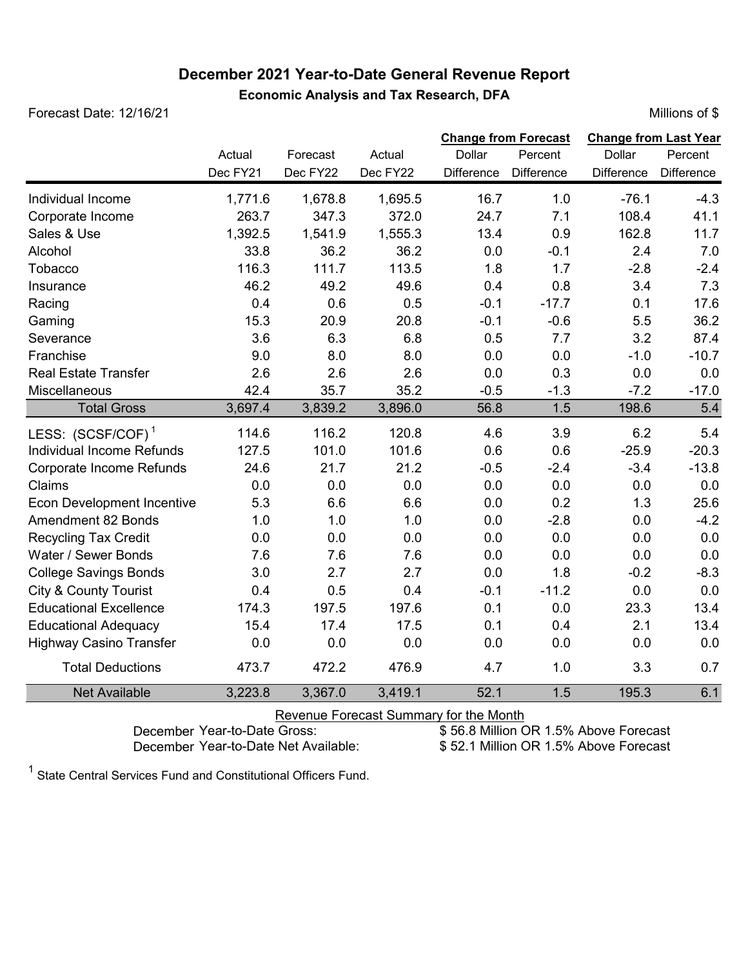# **December 2021 Year-to-Date General Revenue Report**

Forecast Date: 12/16/21 Millions of \$

|                                   | Actual<br>Dec FY21 | Forecast<br>Dec FY22 | Actual<br>Dec FY22 | <b>Change from Forecast</b><br>Dollar<br>Difference | Percent<br><b>Difference</b> | <b>Change from Last Year</b><br>Dollar<br><b>Difference</b> | Percent<br><b>Difference</b> |
|-----------------------------------|--------------------|----------------------|--------------------|-----------------------------------------------------|------------------------------|-------------------------------------------------------------|------------------------------|
| Individual Income                 | 1,771.6            | 1,678.8              | 1,695.5            | 16.7                                                | 1.0                          | $-76.1$                                                     | $-4.3$                       |
| Corporate Income                  | 263.7              | 347.3                | 372.0              | 24.7                                                | 7.1                          | 108.4                                                       | 41.1                         |
| Sales & Use                       | 1,392.5            | 1,541.9              | 1,555.3            | 13.4                                                | 0.9                          | 162.8                                                       | 11.7                         |
| Alcohol                           | 33.8               | 36.2                 | 36.2               | 0.0                                                 | $-0.1$                       | 2.4                                                         | 7.0                          |
| Tobacco                           | 116.3              | 111.7                | 113.5              | 1.8                                                 | 1.7                          | $-2.8$                                                      | $-2.4$                       |
| Insurance                         | 46.2               | 49.2                 | 49.6               | 0.4                                                 | 0.8                          | 3.4                                                         | 7.3                          |
| Racing                            | 0.4                | 0.6                  | 0.5                | $-0.1$                                              | $-17.7$                      | 0.1                                                         | 17.6                         |
| Gaming                            | 15.3               | 20.9                 | 20.8               | $-0.1$                                              | $-0.6$                       | 5.5                                                         | 36.2                         |
| Severance                         | 3.6                | 6.3                  | 6.8                | 0.5                                                 | 7.7                          | 3.2                                                         | 87.4                         |
| Franchise                         | 9.0                | 8.0                  | 8.0                | 0.0                                                 | 0.0                          | $-1.0$                                                      | $-10.7$                      |
| <b>Real Estate Transfer</b>       | 2.6                | 2.6                  | 2.6                | 0.0                                                 | 0.3                          | 0.0                                                         | 0.0                          |
| Miscellaneous                     | 42.4               | 35.7                 | 35.2               | $-0.5$                                              | $-1.3$                       | $-7.2$                                                      | $-17.0$                      |
| <b>Total Gross</b>                | 3,697.4            | 3,839.2              | 3,896.0            | 56.8                                                | 1.5                          | 198.6                                                       | 5.4                          |
| LESS: (SCSF/COF) <sup>1</sup>     | 114.6              | 116.2                | 120.8              | 4.6                                                 | 3.9                          | 6.2                                                         | 5.4                          |
| Individual Income Refunds         | 127.5              | 101.0                | 101.6              | 0.6                                                 | 0.6                          | $-25.9$                                                     | $-20.3$                      |
| Corporate Income Refunds          | 24.6               | 21.7                 | 21.2               | $-0.5$                                              | $-2.4$                       | $-3.4$                                                      | $-13.8$                      |
| Claims                            | 0.0                | 0.0                  | 0.0                | 0.0                                                 | 0.0                          | 0.0                                                         | 0.0                          |
| <b>Econ Development Incentive</b> | 5.3                | 6.6                  | 6.6                | 0.0                                                 | 0.2                          | 1.3                                                         | 25.6                         |
| <b>Amendment 82 Bonds</b>         | 1.0                | 1.0                  | 1.0                | 0.0                                                 | $-2.8$                       | 0.0                                                         | $-4.2$                       |
| <b>Recycling Tax Credit</b>       | 0.0                | 0.0                  | 0.0                | 0.0                                                 | 0.0                          | 0.0                                                         | 0.0                          |
| Water / Sewer Bonds               | 7.6                | 7.6                  | 7.6                | 0.0                                                 | 0.0                          | 0.0                                                         | 0.0                          |
| <b>College Savings Bonds</b>      | 3.0                | 2.7                  | 2.7                | 0.0                                                 | 1.8                          | $-0.2$                                                      | $-8.3$                       |
| <b>City &amp; County Tourist</b>  | 0.4                | 0.5                  | 0.4                | $-0.1$                                              | $-11.2$                      | 0.0                                                         | 0.0                          |
| <b>Educational Excellence</b>     | 174.3              | 197.5                | 197.6              | 0.1                                                 | 0.0                          | 23.3                                                        | 13.4                         |
| <b>Educational Adequacy</b>       | 15.4               | 17.4                 | 17.5               | 0.1                                                 | 0.4                          | 2.1                                                         | 13.4                         |
| <b>Highway Casino Transfer</b>    | 0.0                | 0.0                  | 0.0                | 0.0                                                 | 0.0                          | 0.0                                                         | 0.0                          |
| <b>Total Deductions</b>           | 473.7              | 472.2                | 476.9              | 4.7                                                 | 1.0                          | 3.3                                                         | 0.7                          |
| <b>Net Available</b>              | 3,223.8            | 3,367.0              | 3,419.1            | 52.1                                                | 1.5                          | 195.3                                                       | 6.1                          |

Revenue Forecast Summary for the Month<br>December Year-to-Date Gross: \$56.8 Million C

December Year-to-Date Gross:<br>
December Year-to-Date Net Available:<br>
\$ 52.1 Million OR 1.5% Above Forecast

\$52.1 Million OR 1.5% Above Forecast

 $^{\text{1}}$  State Central Services Fund and Constitutional Officers Fund.